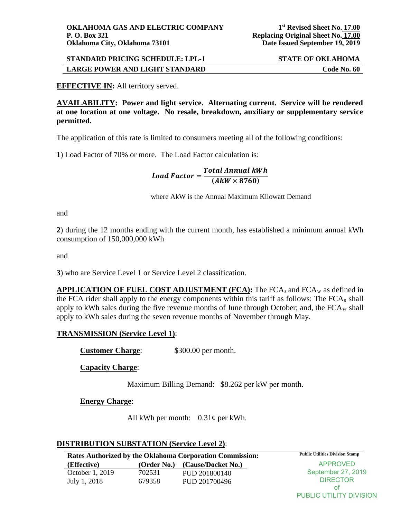## **STANDARD PRICING SCHEDULE: LPL-1 STATE OF OKLAHOMA LARGE POWER AND LIGHT STANDARD Code No. 60**

### **EFFECTIVE IN:** All territory served.

**AVAILABILITY: Power and light service. Alternating current. Service will be rendered at one location at one voltage. No resale, breakdown, auxiliary or supplementary service permitted.** 

The application of this rate is limited to consumers meeting all of the following conditions:

**1**) Load Factor of 70% or more. The Load Factor calculation is:

Load Factor =  $\frac{Total \, Annual \, KWh}{(A k W \times 8760)}$ 

where AkW is the Annual Maximum Kilowatt Demand

and

**2**) during the 12 months ending with the current month, has established a minimum annual kWh consumption of 150,000,000 kWh

and

**3**) who are Service Level 1 or Service Level 2 classification.

**APPLICATION OF FUEL COST ADJUSTMENT (FCA):** The FCA<sub>s</sub> and FCA<sub>w</sub> as defined in the FCA rider shall apply to the energy components within this tariff as follows: The  $FCA<sub>s</sub>$  shall apply to kWh sales during the five revenue months of June through October; and, the  $FCA_w$  shall apply to kWh sales during the seven revenue months of November through May.

### **TRANSMISSION (Service Level 1)**:

**Customer Charge:** \$300.00 per month.

**Capacity Charge**:

Maximum Billing Demand: \$8.262 per kW per month.

**Energy Charge**:

All kWh per month: 0.31¢ per kWh.

#### **DISTRIBUTION SUBSTATION (Service Level 2)**:

| <b>Public Utilities Division Stamp</b><br><b>Rates Authorized by the Oklahoma Corporation Commission:</b> |             |                    |                    |  |
|-----------------------------------------------------------------------------------------------------------|-------------|--------------------|--------------------|--|
| (Effective)                                                                                               | (Order No.) | (Cause/Docket No.) | APPROVED           |  |
| October 1, 2019                                                                                           | 702531      | PUD 201800140      | September 27, 2019 |  |
| July 1, 2018                                                                                              | 679358      | PUD 201700496      | <b>DIRECTOR</b>    |  |
|                                                                                                           |             |                    | Ωt                 |  |

PUBLIC UTILITY DIVISION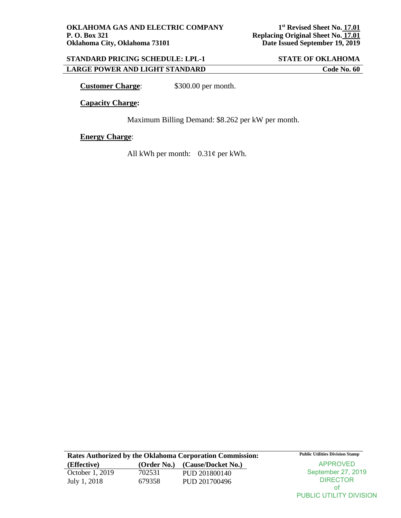PUBLIC UTILITY DIVISION

## **STANDARD PRICING SCHEDULE: LPL-1 STATE OF OKLAHOMA LARGE POWER AND LIGHT STANDARD Code No. 60**

**Customer Charge:** \$300.00 per month.

**Capacity Charge:**

Maximum Billing Demand: \$8.262 per kW per month.

**Energy Charge**:

All kWh per month:  $0.31\phi$  per kWh.

| <b>Rates Authorized by the Oklahoma Corporation Commission:</b> | <b>Public Utilities Division Stamp</b> |                    |                    |
|-----------------------------------------------------------------|----------------------------------------|--------------------|--------------------|
| (Effective)                                                     | (Order No.)                            | (Cause/Docket No.) | APPROVED           |
| October 1, 2019                                                 | 702531                                 | PUD 201800140      | September 27, 2019 |
| July 1, 2018                                                    | 679358                                 | PUD 201700496      | <b>DIRECTOR</b>    |
|                                                                 |                                        |                    | 0t                 |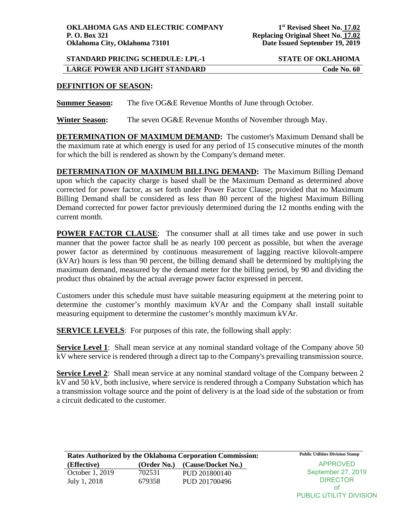PUBLIC UTILITY DIVISION

# **STANDARD PRICING SCHEDULE: LPL-1 STATE OF OKLAHOMA LARGE POWER AND LIGHT STANDARD Code No. 60**

### **DEFINITION OF SEASON:**

**Summer Season:** The five OG&E Revenue Months of June through October.

**Winter Season:** The seven OG&E Revenue Months of November through May.

**DETERMINATION OF MAXIMUM DEMAND:** The customer's Maximum Demand shall be the maximum rate at which energy is used for any period of 15 consecutive minutes of the month for which the bill is rendered as shown by the Company's demand meter.

**DETERMINATION OF MAXIMUM BILLING DEMAND:** The Maximum Billing Demand upon which the capacity charge is based shall be the Maximum Demand as determined above corrected for power factor, as set forth under Power Factor Clause; provided that no Maximum Billing Demand shall be considered as less than 80 percent of the highest Maximum Billing Demand corrected for power factor previously determined during the 12 months ending with the current month.

**POWER FACTOR CLAUSE:** The consumer shall at all times take and use power in such manner that the power factor shall be as nearly 100 percent as possible, but when the average power factor as determined by continuous measurement of lagging reactive kilovolt-ampere (kVAr) hours is less than 90 percent, the billing demand shall be determined by multiplying the maximum demand, measured by the demand meter for the billing period, by 90 and dividing the product thus obtained by the actual average power factor expressed in percent.

Customers under this schedule must have suitable measuring equipment at the metering point to determine the customer's monthly maximum kVAr and the Company shall install suitable measuring equipment to determine the customer's monthly maximum kVAr.

**SERVICE LEVELS:** For purposes of this rate, the following shall apply:

**Service Level 1:** Shall mean service at any nominal standard voltage of the Company above 50 kV where service is rendered through a direct tap to the Company's prevailing transmission source.

**Service Level 2:** Shall mean service at any nominal standard voltage of the Company between 2 kV and 50 kV, both inclusive, where service is rendered through a Company Substation which has a transmission voltage source and the point of delivery is at the load side of the substation or from a circuit dedicated to the customer.

| Rates Authorized by the Oklahoma Corporation Commission: | <b>Public Utilities Division Stamp</b> |                    |                    |
|----------------------------------------------------------|----------------------------------------|--------------------|--------------------|
| (Effective)                                              | (Order No.)                            | (Cause/Docket No.) | APPROVED           |
| October 1, 2019                                          | 702531                                 | PUD 201800140      | September 27, 2019 |
| July 1, 2018                                             | 679358                                 | PUD 201700496      | <b>DIRECTOR</b>    |
|                                                          |                                        |                    | ΩŤ                 |